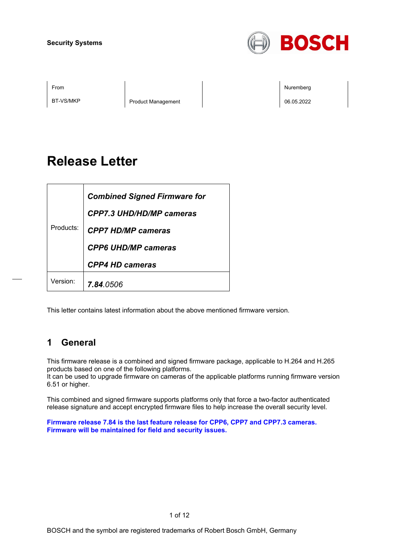

BT-VS/MKP Product Management 06.05.2022

From the second contract of the second contract of the second contract of the second contract of the second contract of the second contract of the second contract of the second contract of the second contract of the second

# **Release Letter**

| Products: | <b>Combined Signed Firmware for</b> |
|-----------|-------------------------------------|
|           | CPP7.3 UHD/HD/MP cameras            |
|           | <b>CPP7 HD/MP cameras</b>           |
|           | <b>CPP6 UHD/MP cameras</b>          |
|           | <b>CPP4 HD cameras</b>              |
| Version:  | <b>7.84.</b> 0506                   |

This letter contains latest information about the above mentioned firmware version.

# **1 General**

This firmware release is a combined and signed firmware package, applicable to H.264 and H.265 products based on one of the following platforms.

It can be used to upgrade firmware on cameras of the applicable platforms running firmware version 6.51 or higher.

This combined and signed firmware supports platforms only that force a two-factor authenticated release signature and accept encrypted firmware files to help increase the overall security level.

**Firmware release 7.84 is the last feature release for CPP6, CPP7 and CPP7.3 cameras. Firmware will be maintained for field and security issues.**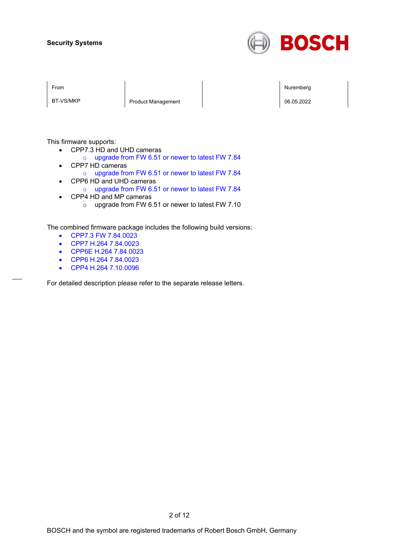

BT-VS/MKP Product Management Product Management 206.05.2022

From the second contract of the second contract of the second contract of the second contract of the second contract of the second contract of the second contract of the second contract of the second contract of the second

This firmware supports:

- CPP7.3 HD and UHD cameras
	- o upgrade from FW 6.51 or newer to latest FW 7.84
- CPP7 HD cameras
	- o upgrade from FW 6.51 or newer to latest FW 7.84
- CPP6 HD and UHD cameras
	- o upgrade from FW 6.51 or newer to latest FW 7.84
- CPP4 HD and MP cameras o upgrade from FW 6.51 or newer to latest FW 7.10

The combined firmware package includes the following build versions:

- CPP7.3 FW 7.84.0023
- CPP7 H.264 7.84.0023
- CPP6E H.264 7.84.0023
- CPP6 H.264 7.84.0023
- CPP4 H.264 7.10.0096

For detailed description please refer to the separate release letters.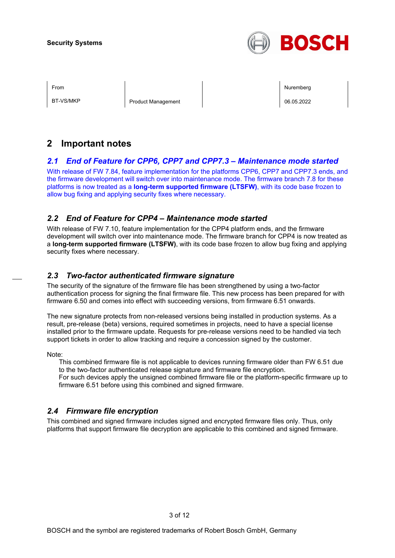

BT-VS/MKP Product Management Product Management Product Nanagement Product Nanagement Product Nanagement Product N

From the second contract of the second contract of the second contract of the second contract of the second contract of the second contract of the second contract of the second contract of the second contract of the second

# **2 Important notes**

### *2.1 End of Feature for CPP6, CPP7 and CPP7.3 – Maintenance mode started*

With release of FW 7.84, feature implementation for the platforms CPP6, CPP7 and CPP7.3 ends, and the firmware development will switch over into maintenance mode. The firmware branch 7.8 for these platforms is now treated as a **long-term supported firmware (LTSFW)**, with its code base frozen to allow bug fixing and applying security fixes where necessary.

### *2.2 End of Feature for CPP4 – Maintenance mode started*

With release of FW 7.10, feature implementation for the CPP4 platform ends, and the firmware development will switch over into maintenance mode. The firmware branch for CPP4 is now treated as a **long-term supported firmware (LTSFW)**, with its code base frozen to allow bug fixing and applying security fixes where necessary.

### *2.3 Two-factor authenticated firmware signature*

The security of the signature of the firmware file has been strengthened by using a two-factor authentication process for signing the final firmware file. This new process has been prepared for with firmware 6.50 and comes into effect with succeeding versions, from firmware 6.51 onwards.

The new signature protects from non-released versions being installed in production systems. As a result, pre-release (beta) versions, required sometimes in projects, need to have a special license installed prior to the firmware update. Requests for pre-release versions need to be handled via tech support tickets in order to allow tracking and require a concession signed by the customer.

Note:

This combined firmware file is not applicable to devices running firmware older than FW 6.51 due to the two-factor authenticated release signature and firmware file encryption. For such devices apply the unsigned combined firmware file or the platform-specific firmware up to

firmware 6.51 before using this combined and signed firmware.

### *2.4 Firmware file encryption*

This combined and signed firmware includes signed and encrypted firmware files only. Thus, only platforms that support firmware file decryption are applicable to this combined and signed firmware.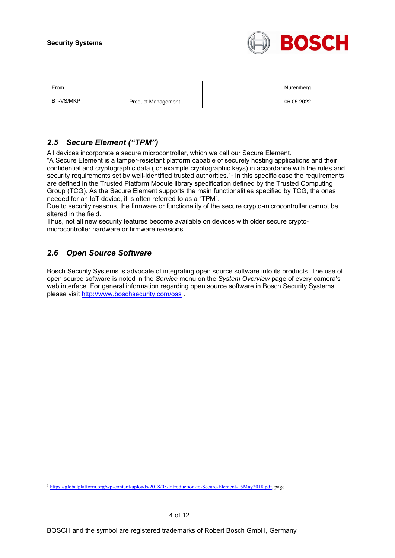

BT-VS/MKP Product Management Product Management Product Nanagement Product Nanagement Product Nanagement Product N

From the second contract of the second contract of the second contract of the second contract of the second contract of the second contract of the second contract of the second contract of the second contract of the second

### *2.5 Secure Element ("TPM")*

All devices incorporate a secure microcontroller, which we call our Secure Element.

"A Secure Element is a tamper-resistant platform capable of securely hosting applications and their confidential and cryptographic data (for example cryptographic keys) in accordance with the rules and security requirements set by well-identified trusted authorities."<sup>[1](#page-3-0)</sup> In this specific case the requirements are defined in the Trusted Platform Module library specification defined by the Trusted Computing Group (TCG). As the Secure Element supports the main functionalities specified by TCG, the ones needed for an IoT device, it is often referred to as a "TPM".

Due to security reasons, the firmware or functionality of the secure crypto-microcontroller cannot be altered in the field.

Thus, not all new security features become available on devices with older secure cryptomicrocontroller hardware or firmware revisions.

### *2.6 Open Source Software*

Bosch Security Systems is advocate of integrating open source software into its products. The use of open source software is noted in the *Service* menu on the *System Overview* page of every camera's web interface. For general information regarding open source software in Bosch Security Systems, please visit<http://www.boschsecurity.com/oss> .

<span id="page-3-0"></span><sup>1</sup> [https://globalplatform.org/wp-content/uploads/2018/05/Introduction-to-Secure-Element-15May2018.pdf,](https://globalplatform.org/wp-content/uploads/2018/05/Introduction-to-Secure-Element-15May2018.pdf) page 1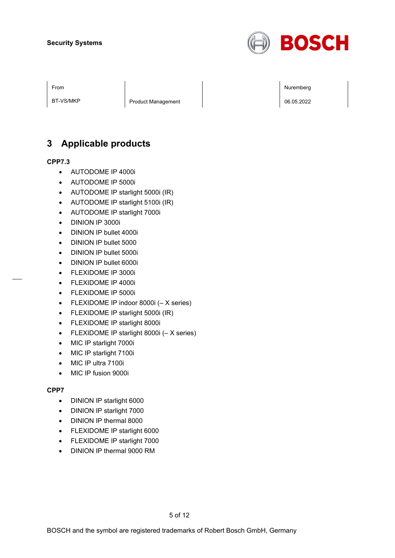

BT-VS/MKP Product Management Product Management 206.05.2022

# **3 Applicable products**

#### **CPP7.3**

- AUTODOME IP 4000i
- AUTODOME IP 5000i
- AUTODOME IP starlight 5000i (IR)
- AUTODOME IP starlight 5100i (IR)
- AUTODOME IP starlight 7000i
- DINION IP 3000i
- DINION IP bullet 4000i
- DINION IP bullet 5000
- DINION IP bullet 5000i
- DINION IP bullet 6000i
- FLEXIDOME IP 3000i
- FLEXIDOME IP 4000i
- FLEXIDOME IP 5000i
- FLEXIDOME IP indoor 8000i (– X series)
- FLEXIDOME IP starlight 5000i (IR)
- FLEXIDOME IP starlight 8000i
- FLEXIDOME IP starlight 8000i (– X series)
- MIC IP starlight 7000i
- MIC IP starlight 7100i
- MIC IP ultra 7100i
- MIC IP fusion 9000i

#### **CPP7**

- DINION IP starlight 6000
- DINION IP starlight 7000
- DINION IP thermal 8000
- FLEXIDOME IP starlight 6000
- FLEXIDOME IP starlight 7000
- DINION IP thermal 9000 RM

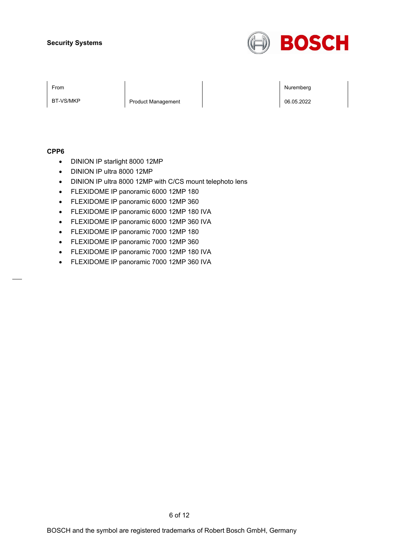

BT-VS/MKP Product Management Product Management 206.05.2022

From the second contract of the second contract of the second contract of the second contract of the second contract of the second contract of the second contract of the second contract of the second contract of the second

#### **CPP6**

- DINION IP starlight 8000 12MP
- DINION IP ultra 8000 12MP
- DINION IP ultra 8000 12MP with C/CS mount telephoto lens
- FLEXIDOME IP panoramic 6000 12MP 180
- FLEXIDOME IP panoramic 6000 12MP 360
- FLEXIDOME IP panoramic 6000 12MP 180 IVA
- FLEXIDOME IP panoramic 6000 12MP 360 IVA
- FLEXIDOME IP panoramic 7000 12MP 180
- FLEXIDOME IP panoramic 7000 12MP 360
- FLEXIDOME IP panoramic 7000 12MP 180 IVA
- FLEXIDOME IP panoramic 7000 12MP 360 IVA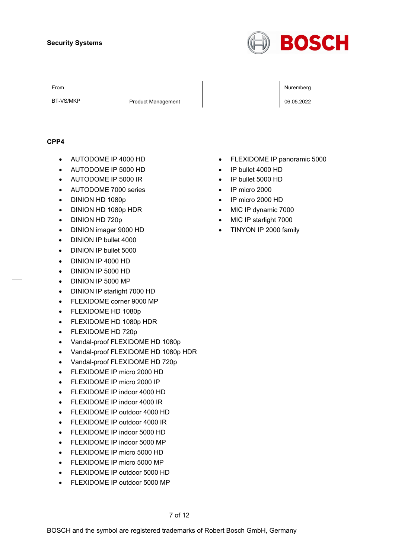

BT-VS/MKP Product Management 2008.05.2022

From the second contract of the second contract of the second contract of the second contract of the second contract of the second contract of the second contract of the second contract of the second contract of the second

#### **CPP4**

- AUTODOME IP 4000 HD
- AUTODOME IP 5000 HD
- AUTODOME IP 5000 IR
- AUTODOME 7000 series
- DINION HD 1080p
- DINION HD 1080p HDR
- DINION HD 720p
- DINION imager 9000 HD
- DINION IP bullet 4000
- DINION IP bullet 5000
- DINION IP 4000 HD
- DINION IP 5000 HD
- DINION IP 5000 MP
- DINION IP starlight 7000 HD
- FLEXIDOME corner 9000 MP
- FLEXIDOME HD 1080p
- FLEXIDOME HD 1080p HDR
- FLEXIDOME HD 720p
- Vandal-proof FLEXIDOME HD 1080p
- Vandal-proof FLEXIDOME HD 1080p HDR
- Vandal-proof FLEXIDOME HD 720p
- FLEXIDOME IP micro 2000 HD
- FLEXIDOME IP micro 2000 IP
- FLEXIDOME IP indoor 4000 HD
- FLEXIDOME IP indoor 4000 IR
- FLEXIDOME IP outdoor 4000 HD
- FLEXIDOME IP outdoor 4000 IR
- FLEXIDOME IP indoor 5000 HD
- FLEXIDOME IP indoor 5000 MP
- FLEXIDOME IP micro 5000 HD
- FLEXIDOME IP micro 5000 MP
- FLEXIDOME IP outdoor 5000 HD
- FLEXIDOME IP outdoor 5000 MP
- FLEXIDOME IP panoramic 5000
- IP bullet 4000 HD
- IP bullet 5000 HD
- IP micro 2000
- IP micro 2000 HD
- MIC IP dynamic 7000
- MIC IP starlight 7000
- TINYON IP 2000 family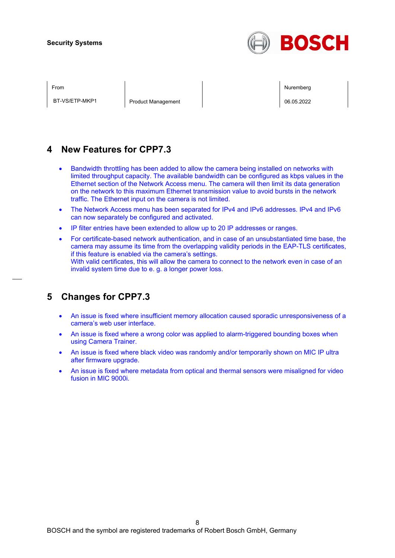

BT-VS/ETP-MKP1 Product Management 206.05.2022

From the second contract of the second contract of the second contract of the second contract of the second contract of the second contract of the second contract of the second contract of the second contract of the second

# **4 New Features for CPP7.3**

- Bandwidth throttling has been added to allow the camera being installed on networks with limited throughput capacity. The available bandwidth can be configured as kbps values in the Ethernet section of the Network Access menu. The camera will then limit its data generation on the network to this maximum Ethernet transmission value to avoid bursts in the network traffic. The Ethernet input on the camera is not limited.
- The Network Access menu has been separated for IPv4 and IPv6 addresses. IPv4 and IPv6 can now separately be configured and activated.
- IP filter entries have been extended to allow up to 20 IP addresses or ranges.
- For certificate-based network authentication, and in case of an unsubstantiated time base, the camera may assume its time from the overlapping validity periods in the EAP-TLS certificates, if this feature is enabled via the camera's settings. With valid certificates, this will allow the camera to connect to the network even in case of an invalid system time due to e. g. a longer power loss.

# **5 Changes for CPP7.3**

- An issue is fixed where insufficient memory allocation caused sporadic unresponsiveness of a camera's web user interface.
- An issue is fixed where a wrong color was applied to alarm-triggered bounding boxes when using Camera Trainer.
- An issue is fixed where black video was randomly and/or temporarily shown on MIC IP ultra after firmware upgrade.
- An issue is fixed where metadata from optical and thermal sensors were misaligned for video fusion in MIC 9000i.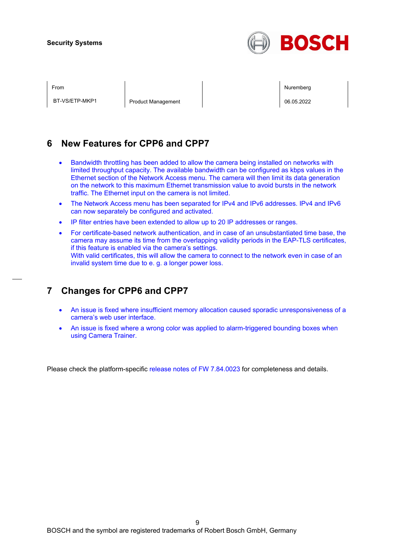

BT-VS/ETP-MKP1 Product Management 206.05.2022

From the second contract of the second contract of the second contract of the second contract of the second contract of the second contract of the second contract of the second contract of the second contract of the second

### **6 New Features for CPP6 and CPP7**

- Bandwidth throttling has been added to allow the camera being installed on networks with limited throughput capacity. The available bandwidth can be configured as kbps values in the Ethernet section of the Network Access menu. The camera will then limit its data generation on the network to this maximum Ethernet transmission value to avoid bursts in the network traffic. The Ethernet input on the camera is not limited.
- The Network Access menu has been separated for IPv4 and IPv6 addresses. IPv4 and IPv6 can now separately be configured and activated.
- IP filter entries have been extended to allow up to 20 IP addresses or ranges.
- For certificate-based network authentication, and in case of an unsubstantiated time base, the camera may assume its time from the overlapping validity periods in the EAP-TLS certificates, if this feature is enabled via the camera's settings. With valid certificates, this will allow the camera to connect to the network even in case of an invalid system time due to e. g. a longer power loss.

# **7 Changes for CPP6 and CPP7**

- An issue is fixed where insufficient memory allocation caused sporadic unresponsiveness of a camera's web user interface.
- An issue is fixed where a wrong color was applied to alarm-triggered bounding boxes when using Camera Trainer.

Please check the platform-specific release notes of FW 7.84.0023 for completeness and details.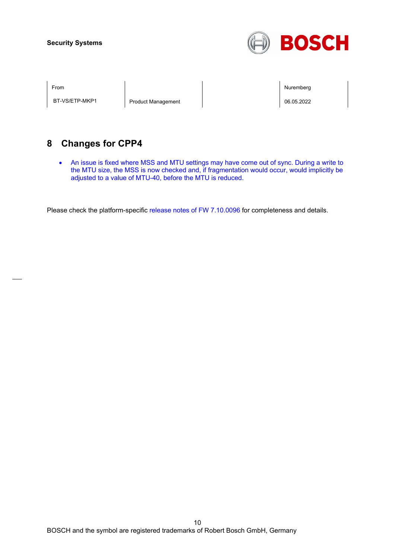

BT-VS/ETP-MKP1 Product Management 06.05.2022

From the second contract of the second contract of the second contract of the second contract of the second contract of the second contract of the second contract of the second contract of the second contract of the second

# **8 Changes for CPP4**

• An issue is fixed where MSS and MTU settings may have come out of sync. During a write to the MTU size, the MSS is now checked and, if fragmentation would occur, would implicitly be adjusted to a value of MTU-40, before the MTU is reduced.

Please check the platform-specific release notes of FW 7.10.0096 for completeness and details.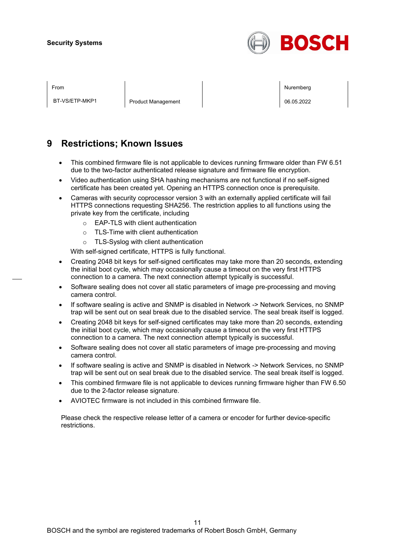

BT-VS/ETP-MKP1 Product Management 206.05.2022

From the second contract of the second contract of the second contract of the second contract of the second contract of the second contract of the second contract of the second contract of the second contract of the second

### **9 Restrictions; Known Issues**

- This combined firmware file is not applicable to devices running firmware older than FW 6.51 due to the two-factor authenticated release signature and firmware file encryption.
- Video authentication using SHA hashing mechanisms are not functional if no self-signed certificate has been created yet. Opening an HTTPS connection once is prerequisite.
- Cameras with security coprocessor version 3 with an externally applied certificate will fail HTTPS connections requesting SHA256. The restriction applies to all functions using the private key from the certificate, including
	- o EAP-TLS with client authentication
	- o TLS-Time with client authentication
	- o TLS-Syslog with client authentication

With self-signed certificate, HTTPS is fully functional.

- Creating 2048 bit keys for self-signed certificates may take more than 20 seconds, extending the initial boot cycle, which may occasionally cause a timeout on the very first HTTPS connection to a camera. The next connection attempt typically is successful.
- Software sealing does not cover all static parameters of image pre-processing and moving camera control.
- If software sealing is active and SNMP is disabled in Network -> Network Services, no SNMP trap will be sent out on seal break due to the disabled service. The seal break itself is logged.
- Creating 2048 bit keys for self-signed certificates may take more than 20 seconds, extending the initial boot cycle, which may occasionally cause a timeout on the very first HTTPS connection to a camera. The next connection attempt typically is successful.
- Software sealing does not cover all static parameters of image pre-processing and moving camera control.
- If software sealing is active and SNMP is disabled in Network -> Network Services, no SNMP trap will be sent out on seal break due to the disabled service. The seal break itself is logged.
- This combined firmware file is not applicable to devices running firmware higher than FW 6.50 due to the 2-factor release signature.
- AVIOTEC firmware is not included in this combined firmware file.

Please check the respective release letter of a camera or encoder for further device-specific restrictions.